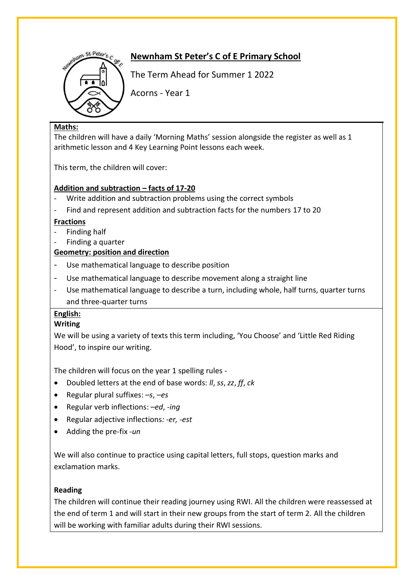

# **Newnham St Peter's C of E Primary School**

The Term Ahead for Summer 1 2022

Acorns - Year 1

### **Maths:**

The children will have a daily 'Morning Maths' session alongside the register as well as 1 arithmetic lesson and 4 Key Learning Point lessons each week.

This term, the children will cover:

### **Addition and subtraction – facts of 17-20**

- Write addition and subtraction problems using the correct symbols
- Find and represent addition and subtraction facts for the numbers 17 to 20

### **Fractions**

- Finding half
- Finding a quarter

### **Geometry: position and direction**

- Use mathematical language to describe position
- Use mathematical language to describe movement along a straight line
- Use mathematical language to describe a turn, including whole, half turns, quarter turns and three-quarter turns

### **English:**

### **Writing**

We will be using a variety of texts this term including, 'You Choose' and 'Little Red Riding Hood', to inspire our writing.

The children will focus on the year 1 spelling rules -

- Doubled letters at the end of base words: *ll*, *ss*, *zz*, *ff*, *ck*
- Regular plural suffixes: *–s*, *–es*
- Regular verb inflections: *–ed*, *-ing*
- Regular adjective inflections*: -er, -est*
- Adding the pre-fix *-un*

We will also continue to practice using capital letters, full stops, question marks and exclamation marks.

### **Reading**

The children will continue their reading journey using RWI. All the children were reassessed at the end of term 1 and will start in their new groups from the start of term 2. All the children will be working with familiar adults during their RWI sessions.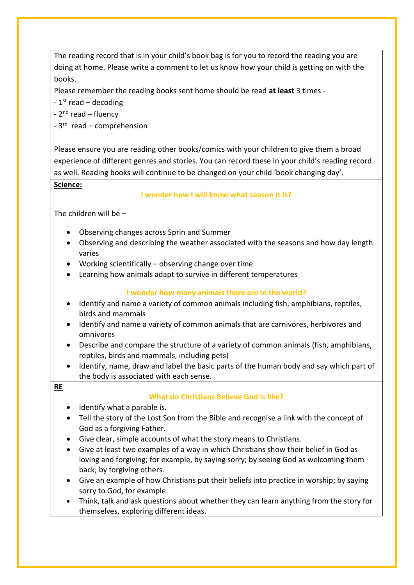The reading record that is in your child's book bag is for you to record the reading you are doing at home. Please write a comment to let us know how your child is getting on with the books.

Please remember the reading books sent home should be read **at least** 3 times -

- 1<sup>st</sup> read – decoding

- 2<sup>nd</sup> read – fluency

- 3<sup>rd</sup> read – comprehension

Please ensure you are reading other books/comics with your children to give them a broad experience of different genres and stories. You can record these in your child's reading record as well. Reading books will continue to be changed on your child 'book changing day'.

#### **Science:**

#### **I wonder how I will know what season it is?**

The children will be –

- Observing changes across Sprin and Summer
- Observing and describing the weather associated with the seasons and how day length varies
- Working scientifically observing change over time
- Learning how animals adapt to survive in different temperatures

### **I wonder how many animals there are in the world?**

- Identify and name a variety of common animals including fish, amphibians, reptiles, birds and mammals
- Identify and name a variety of common animals that are carnivores, herbivores and omnivores
- Describe and compare the structure of a variety of common animals (fish, amphibians, reptiles, birds and mammals, including pets)
- Identify, name, draw and label the basic parts of the human body and say which part of the body is associated with each sense.

#### **RE**

### **What do Christians Believe God is like?**

- Identify what a parable is.
- Tell the story of the Lost Son from the Bible and recognise a link with the concept of God as a forgiving Father.
- Give clear, simple accounts of what the story means to Christians.
- Give at least two examples of a way in which Christians show their belief in God as loving and forgiving; for example, by saying sorry; by seeing God as welcoming them back; by forgiving others.
- Give an example of how Christians put their beliefs into practice in worship; by saying sorry to God, for example.
- Think, talk and ask questions about whether they can learn anything from the story for themselves, exploring different ideas.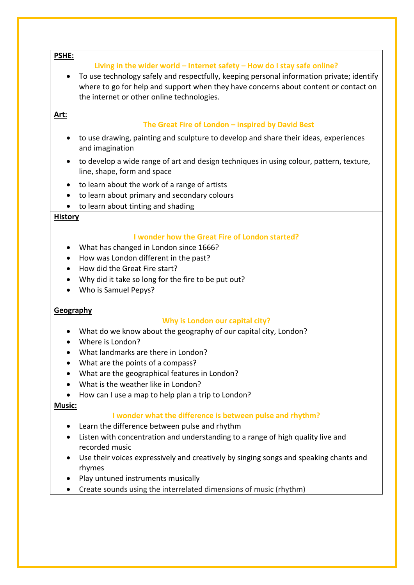#### **PSHE:**

#### **Living in the wider world – Internet safety – How do I stay safe online?**

• To use technology safely and respectfully, keeping personal information private; identify where to go for help and support when they have concerns about content or contact on the internet or other online technologies.

### **Art:**

#### **The Great Fire of London – inspired by David Best**

- to use drawing, painting and sculpture to develop and share their ideas, experiences and imagination
- to develop a wide range of art and design techniques in using colour, pattern, texture, line, shape, form and space
- to learn about the work of a range of artists
- to learn about primary and secondary colours
- to learn about tinting and shading

#### **History**

#### **I wonder how the Great Fire of London started?**

- What has changed in London since 1666?
- How was London different in the past?
- How did the Great Fire start?
- Why did it take so long for the fire to be put out?
- Who is Samuel Pepys?

#### **Geography**

#### **Why is London our capital city?**

- What do we know about the geography of our capital city, London?
- Where is London?
- What landmarks are there in London?
- What are the points of a compass?
- What are the geographical features in London?
- What is the weather like in London?
- How can I use a map to help plan a trip to London?

#### **Music:**

### **I wonder what the difference is between pulse and rhythm?**

- Learn the difference between pulse and rhythm
- Listen with concentration and understanding to a range of high quality live and recorded music
- Use their voices expressively and creatively by singing songs and speaking chants and rhymes
- Play untuned instruments musically
- Create sounds using the interrelated dimensions of music (rhythm)